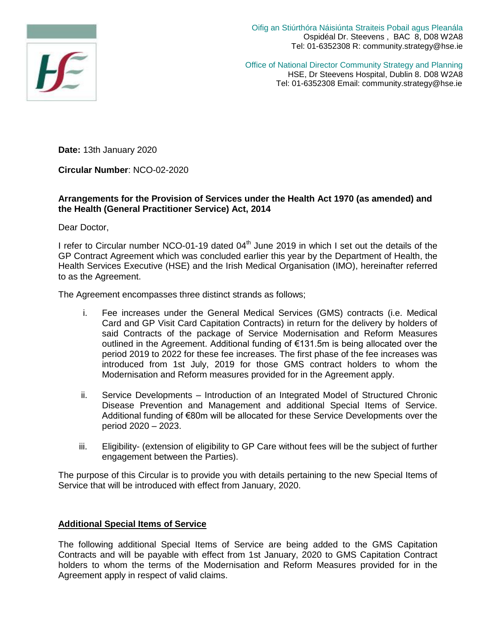

Oifig an Stiúrthóra Náisiúnta Straiteis Pobail agus Pleanála Ospidéal Dr. Steevens , BAC 8, D08 W2A8 Tel: 01-6352308 R: community.strategy@hse.ie

Office of National Director Community Strategy and Planning HSE, Dr Steevens Hospital, Dublin 8. D08 W2A8 Tel: 01-6352308 Email: community.strategy@hse.ie

**Date:** 13th January 2020

**Circular Number**: NCO-02-2020

## **Arrangements for the Provision of Services under the Health Act 1970 (as amended) and the Health (General Practitioner Service) Act, 2014**

Dear Doctor,

I refer to Circular number NCO-01-19 dated  $04<sup>th</sup>$  June 2019 in which I set out the details of the GP Contract Agreement which was concluded earlier this year by the Department of Health, the Health Services Executive (HSE) and the Irish Medical Organisation (IMO), hereinafter referred to as the Agreement.

The Agreement encompasses three distinct strands as follows;

- i. Fee increases under the General Medical Services (GMS) contracts (i.e. Medical Card and GP Visit Card Capitation Contracts) in return for the delivery by holders of said Contracts of the package of Service Modernisation and Reform Measures outlined in the Agreement. Additional funding of €131.5m is being allocated over the period 2019 to 2022 for these fee increases. The first phase of the fee increases was introduced from 1st July, 2019 for those GMS contract holders to whom the Modernisation and Reform measures provided for in the Agreement apply.
- ii. Service Developments Introduction of an Integrated Model of Structured Chronic Disease Prevention and Management and additional Special Items of Service. Additional funding of €80m will be allocated for these Service Developments over the period 2020 – 2023.
- iii. Eligibility- (extension of eligibility to GP Care without fees will be the subject of further engagement between the Parties).

The purpose of this Circular is to provide you with details pertaining to the new Special Items of Service that will be introduced with effect from January, 2020.

## **Additional Special Items of Service**

The following additional Special Items of Service are being added to the GMS Capitation Contracts and will be payable with effect from 1st January, 2020 to GMS Capitation Contract holders to whom the terms of the Modernisation and Reform Measures provided for in the Agreement apply in respect of valid claims.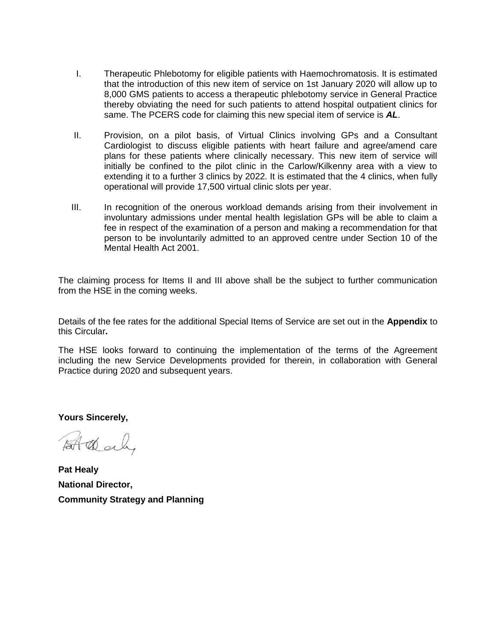- I. Therapeutic Phlebotomy for eligible patients with Haemochromatosis. It is estimated that the introduction of this new item of service on 1st January 2020 will allow up to 8,000 GMS patients to access a therapeutic phlebotomy service in General Practice thereby obviating the need for such patients to attend hospital outpatient clinics for same. The PCERS code for claiming this new special item of service is *AL*.
- II. Provision, on a pilot basis, of Virtual Clinics involving GPs and a Consultant Cardiologist to discuss eligible patients with heart failure and agree/amend care plans for these patients where clinically necessary. This new item of service will initially be confined to the pilot clinic in the Carlow/Kilkenny area with a view to extending it to a further 3 clinics by 2022. It is estimated that the 4 clinics, when fully operational will provide 17,500 virtual clinic slots per year.
- III. In recognition of the onerous workload demands arising from their involvement in involuntary admissions under mental health legislation GPs will be able to claim a fee in respect of the examination of a person and making a recommendation for that person to be involuntarily admitted to an approved centre under Section 10 of the Mental Health Act 2001.

The claiming process for Items II and III above shall be the subject to further communication from the HSE in the coming weeks.

Details of the fee rates for the additional Special Items of Service are set out in the **Appendix** to this Circular**.** 

The HSE looks forward to continuing the implementation of the terms of the Agreement including the new Service Developments provided for therein, in collaboration with General Practice during 2020 and subsequent years.

**Yours Sincerely,**

At dealy

**Pat Healy National Director, Community Strategy and Planning**